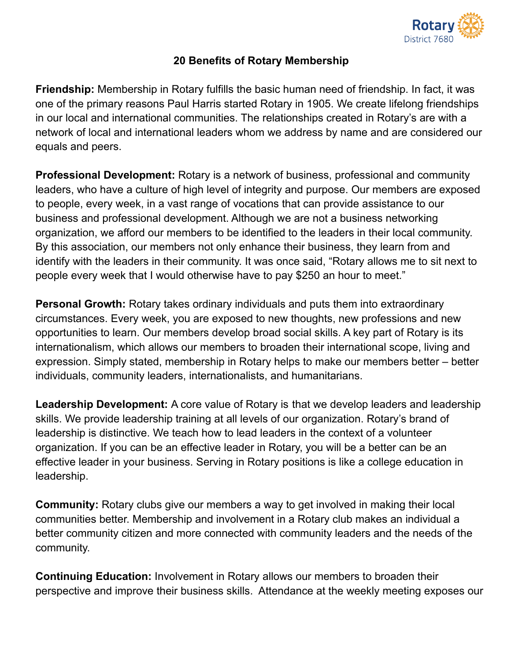

## **20 Benefits of Rotary Membership**

**Friendship:** Membership in Rotary fulfills the basic human need of friendship. In fact, it was one of the primary reasons Paul Harris started Rotary in 1905. We create lifelong friendships in our local and international communities. The relationships created in Rotary's are with a network of local and international leaders whom we address by name and are considered our equals and peers.

**Professional Development:** Rotary is a network of business, professional and community leaders, who have a culture of high level of integrity and purpose. Our members are exposed to people, every week, in a vast range of vocations that can provide assistance to our business and professional development. Although we are not a business networking organization, we afford our members to be identified to the leaders in their local community. By this association, our members not only enhance their business, they learn from and identify with the leaders in their community. It was once said, "Rotary allows me to sit next to people every week that I would otherwise have to pay \$250 an hour to meet."

**Personal Growth:** Rotary takes ordinary individuals and puts them into extraordinary circumstances. Every week, you are exposed to new thoughts, new professions and new opportunities to learn. Our members develop broad social skills. A key part of Rotary is its internationalism, which allows our members to broaden their international scope, living and expression. Simply stated, membership in Rotary helps to make our members better – better individuals, community leaders, internationalists, and humanitarians.

**Leadership Development:** A core value of Rotary is that we develop leaders and leadership skills. We provide leadership training at all levels of our organization. Rotary's brand of leadership is distinctive. We teach how to lead leaders in the context of a volunteer organization. If you can be an effective leader in Rotary, you will be a better can be an effective leader in your business. Serving in Rotary positions is like a college education in leadership.

**Community:** Rotary clubs give our members a way to get involved in making their local communities better. Membership and involvement in a Rotary club makes an individual a better community citizen and more connected with community leaders and the needs of the community.

**Continuing Education:** Involvement in Rotary allows our members to broaden their perspective and improve their business skills. Attendance at the weekly meeting exposes our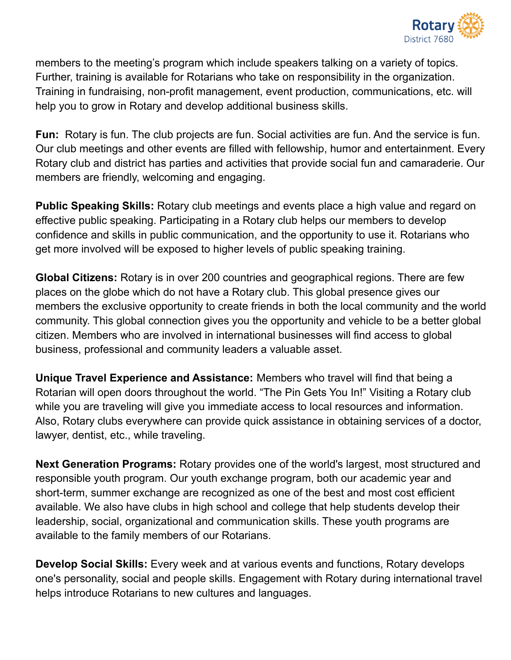

members to the meeting's program which include speakers talking on a variety of topics. Further, training is available for Rotarians who take on responsibility in the organization. Training in fundraising, non-profit management, event production, communications, etc. will help you to grow in Rotary and develop additional business skills.

**Fun:** Rotary is fun. The club projects are fun. Social activities are fun. And the service is fun. Our club meetings and other events are filled with fellowship, humor and entertainment. Every Rotary club and district has parties and activities that provide social fun and camaraderie. Our members are friendly, welcoming and engaging.

**Public Speaking Skills:** Rotary club meetings and events place a high value and regard on effective public speaking. Participating in a Rotary club helps our members to develop confidence and skills in public communication, and the opportunity to use it. Rotarians who get more involved will be exposed to higher levels of public speaking training.

**Global Citizens:** Rotary is in over 200 countries and geographical regions. There are few places on the globe which do not have a Rotary club. This global presence gives our members the exclusive opportunity to create friends in both the local community and the world community. This global connection gives you the opportunity and vehicle to be a better global citizen. Members who are involved in international businesses will find access to global business, professional and community leaders a valuable asset.

**Unique Travel Experience and Assistance:** Members who travel will find that being a Rotarian will open doors throughout the world. "The Pin Gets You In!" Visiting a Rotary club while you are traveling will give you immediate access to local resources and information. Also, Rotary clubs everywhere can provide quick assistance in obtaining services of a doctor, lawyer, dentist, etc., while traveling.

**Next Generation Programs:** Rotary provides one of the world's largest, most structured and responsible youth program. Our youth exchange program, both our academic year and short-term, summer exchange are recognized as one of the best and most cost efficient available. We also have clubs in high school and college that help students develop their leadership, social, organizational and communication skills. These youth programs are available to the family members of our Rotarians.

**Develop Social Skills:** Every week and at various events and functions, Rotary develops one's personality, social and people skills. Engagement with Rotary during international travel helps introduce Rotarians to new cultures and languages.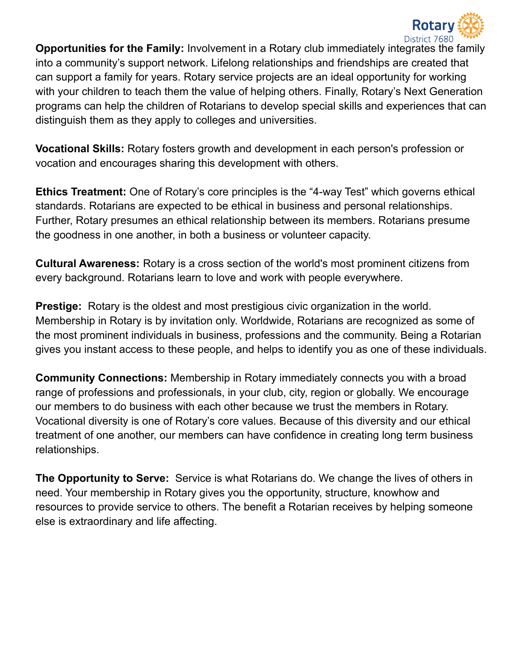

**Opportunities for the Family:** Involvement in a Rotary club immediately integrates the family into a community's support network. Lifelong relationships and friendships are created that can support a family for years. Rotary service projects are an ideal opportunity for working with your children to teach them the value of helping others. Finally, Rotary's Next Generation programs can help the children of Rotarians to develop special skills and experiences that can distinguish them as they apply to colleges and universities.

**Vocational Skills:** Rotary fosters growth and development in each person's profession or vocation and encourages sharing this development with others.

**Ethics Treatment:** One of Rotary's core principles is the "4-way Test" which governs ethical standards. Rotarians are expected to be ethical in business and personal relationships. Further, Rotary presumes an ethical relationship between its members. Rotarians presume the goodness in one another, in both a business or volunteer capacity.

**Cultural Awareness:** Rotary is a cross section of the world's most prominent citizens from every background. Rotarians learn to love and work with people everywhere.

**Prestige:** Rotary is the oldest and most prestigious civic organization in the world. Membership in Rotary is by invitation only. Worldwide, Rotarians are recognized as some of the most prominent individuals in business, professions and the community. Being a Rotarian gives you instant access to these people, and helps to identify you as one of these individuals.

**Community Connections:** Membership in Rotary immediately connects you with a broad range of professions and professionals, in your club, city, region or globally. We encourage our members to do business with each other because we trust the members in Rotary. Vocational diversity is one of Rotary's core values. Because of this diversity and our ethical treatment of one another, our members can have confidence in creating long term business relationships.

**The Opportunity to Serve:** Service is what Rotarians do. We change the lives of others in need. Your membership in Rotary gives you the opportunity, structure, knowhow and resources to provide service to others. The benefit a Rotarian receives by helping someone else is extraordinary and life affecting.